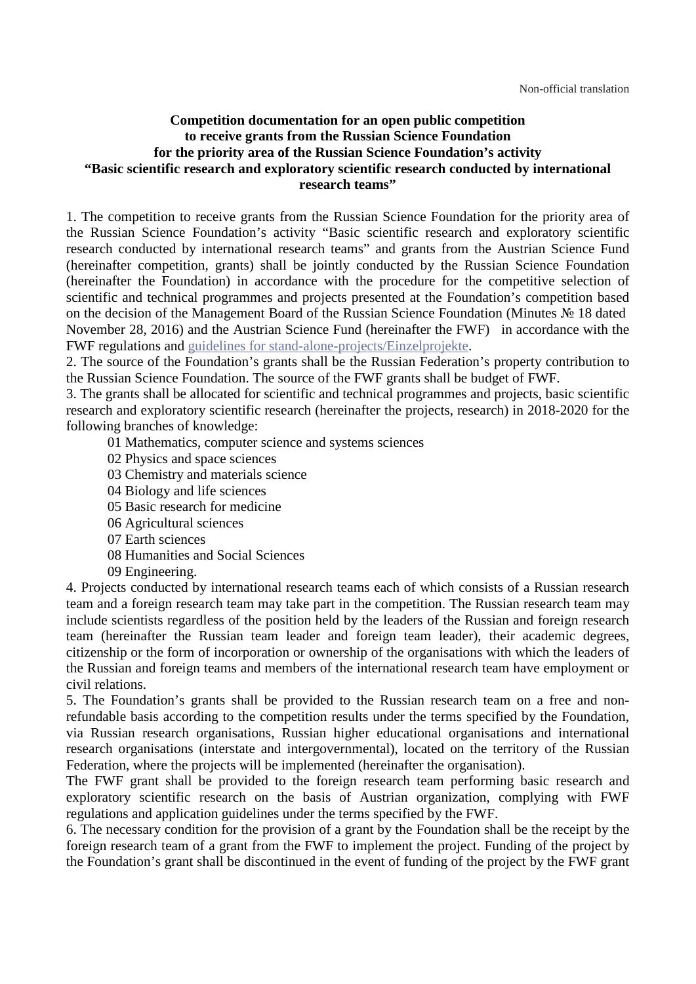### **Competition documentation for an open public competition to receive grants from the Russian Science Foundation for the priority area of the Russian Science Foundation's activity "Basic scientific research and exploratory scientific research conducted by international research teams"**

1. The competition to receive grants from the Russian Science Foundation for the priority area of the Russian Science Foundation's activity "Basic scientific research and exploratory scientific research conducted by international research teams" and grants from the Austrian Science Fund (hereinafter competition, grants) shall be jointly conducted by the Russian Science Foundation (hereinafter the Foundation) in accordance with the procedure for the competitive selection of scientific and technical programmes and projects presented at the Foundation's competition based on the decision of the Management Board of the Russian Science Foundation (Minutes № 18 dated November 28, 2016) and the Austrian Science Fund (hereinafter the FWF) in accordance with the FWF regulations and [guidelines for stand-alone-projects/Einzelprojekte.](http://www.fwf.ac.at/fileadmin/files/Dokumente/Antragstellung/Einzelprojekte/p_application-guidelines.pdf)

2. The source of the Foundation's grants shall be the Russian Federation's property contribution to the Russian Science Foundation. The source of the FWF grants shall be budget of FWF.

3. The grants shall be allocated for scientific and technical programmes and projects, basic scientific research and exploratory scientific research (hereinafter the projects, research) in 2018-2020 for the following branches of knowledge:

- 01 Mathematics, computer science and systems sciences
- 02 Physics and space sciences
- 03 Chemistry and materials science
- 04 Biology and life sciences
- 05 Basic research for medicine
- 06 Agricultural sciences
- 07 Earth sciences
- 08 Humanities and Social Sciences
- 09 Engineering.

4. Projects conducted by international research teams each of which consists of a Russian research team and a foreign research team may take part in the competition. The Russian research team may include scientists regardless of the position held by the leaders of the Russian and foreign research team (hereinafter the Russian team leader and foreign team leader), their academic degrees, citizenship or the form of incorporation or ownership of the organisations with which the leaders of the Russian and foreign teams and members of the international research team have employment or civil relations.

5. The Foundation's grants shall be provided to the Russian research team on a free and nonrefundable basis according to the competition results under the terms specified by the Foundation, via Russian research organisations, Russian higher educational organisations and international research organisations (interstate and intergovernmental), located on the territory of the Russian Federation, where the projects will be implemented (hereinafter the organisation).

The FWF grant shall be provided to the foreign research team performing basic research and exploratory scientific research on the basis of Austrian organization, complying with FWF regulations and application guidelines under the terms specified by the FWF.

6. The necessary condition for the provision of a grant by the Foundation shall be the receipt by the foreign research team of a grant from the FWF to implement the project. Funding of the project by the Foundation's grant shall be discontinued in the event of funding of the project by the FWF grant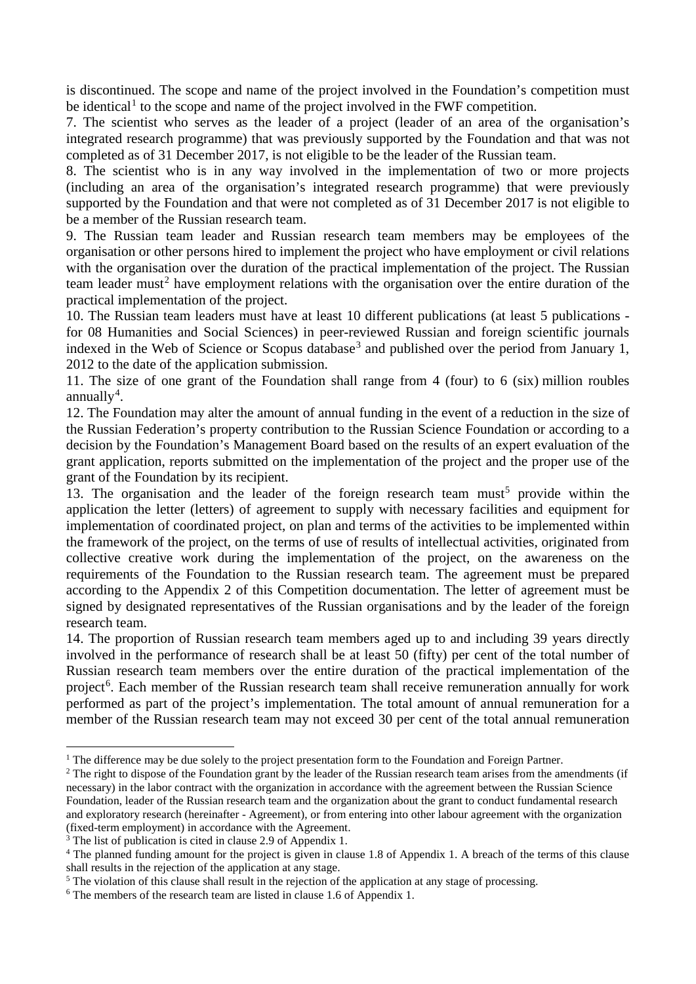is discontinued. The scope and name of the project involved in the Foundation's competition must be identical<sup>[1](#page-1-0)</sup> to the scope and name of the project involved in the FWF competition.

7. The scientist who serves as the leader of a project (leader of an area of the organisation's integrated research programme) that was previously supported by the Foundation and that was not completed as of 31 December 2017, is not eligible to be the leader of the Russian team.

8. The scientist who is in any way involved in the implementation of two or more projects (including an area of the organisation's integrated research programme) that were previously supported by the Foundation and that were not completed as of 31 December 2017 is not eligible to be a member of the Russian research team.

9. The Russian team leader and Russian research team members may be employees of the organisation or other persons hired to implement the project who have employment or civil relations with the organisation over the duration of the practical implementation of the project. The Russian team leader must<sup>[2](#page-1-1)</sup> have employment relations with the organisation over the entire duration of the practical implementation of the project.

10. The Russian team leaders must have at least 10 different publications (at least 5 publications for 08 Humanities and Social Sciences) in peer-reviewed Russian and foreign scientific journals indexed in the Web of Science or Scopus database<sup>[3](#page-1-2)</sup> and published over the period from January 1, 2012 to the date of the application submission.

11. The size of one grant of the Foundation shall range from 4 (four) to 6 (six) million roubles annually<sup>[4](#page-1-3)</sup>.

12. The Foundation may alter the amount of annual funding in the event of a reduction in the size of the Russian Federation's property contribution to the Russian Science Foundation or according to a decision by the Foundation's Management Board based on the results of an expert evaluation of the grant application, reports submitted on the implementation of the project and the proper use of the grant of the Foundation by its recipient.

13. The organisation and the leader of the foreign research team must<sup>[5](#page-1-4)</sup> provide within the application the letter (letters) of agreement to supply with necessary facilities and equipment for implementation of coordinated project, on plan and terms of the activities to be implemented within the framework of the project, on the terms of use of results of intellectual activities, originated from collective creative work during the implementation of the project, on the awareness on the requirements of the Foundation to the Russian research team. The agreement must be prepared according to the Appendix 2 of this Competition documentation. The letter of agreement must be signed by designated representatives of the Russian organisations and by the leader of the foreign research team.

14. The proportion of Russian research team members aged up to and including 39 years directly involved in the performance of research shall be at least 50 (fifty) per cent of the total number of Russian research team members over the entire duration of the practical implementation of the project<sup>[6](#page-1-5)</sup>. Each member of the Russian research team shall receive remuneration annually for work performed as part of the project's implementation. The total amount of annual remuneration for a member of the Russian research team may not exceed 30 per cent of the total annual remuneration

<span id="page-1-0"></span><sup>&</sup>lt;sup>1</sup> The difference may be due solely to the project presentation form to the Foundation and Foreign Partner.

<span id="page-1-1"></span><sup>&</sup>lt;sup>2</sup> The right to dispose of the Foundation grant by the leader of the Russian research team arises from the amendments (if necessary) in the labor contract with the organization in accordance with the agreement between the Russian Science Foundation, leader of the Russian research team and the organization about the grant to conduct fundamental research and exploratory research (hereinafter - Agreement), or from entering into other labour agreement with the organization (fixed-term employment) in accordance with the Agreement.

<span id="page-1-2"></span><sup>&</sup>lt;sup>3</sup> The list of publication is cited in clause 2.9 of Appendix 1.

<span id="page-1-3"></span><sup>&</sup>lt;sup>4</sup> The planned funding amount for the project is given in clause 1.8 of Appendix 1. A breach of the terms of this clause shall results in the rejection of the application at any stage.

<span id="page-1-4"></span><sup>&</sup>lt;sup>5</sup> The violation of this clause shall result in the rejection of the application at any stage of processing.

<span id="page-1-5"></span><sup>6</sup> The members of the research team are listed in clause 1.6 of Appendix 1.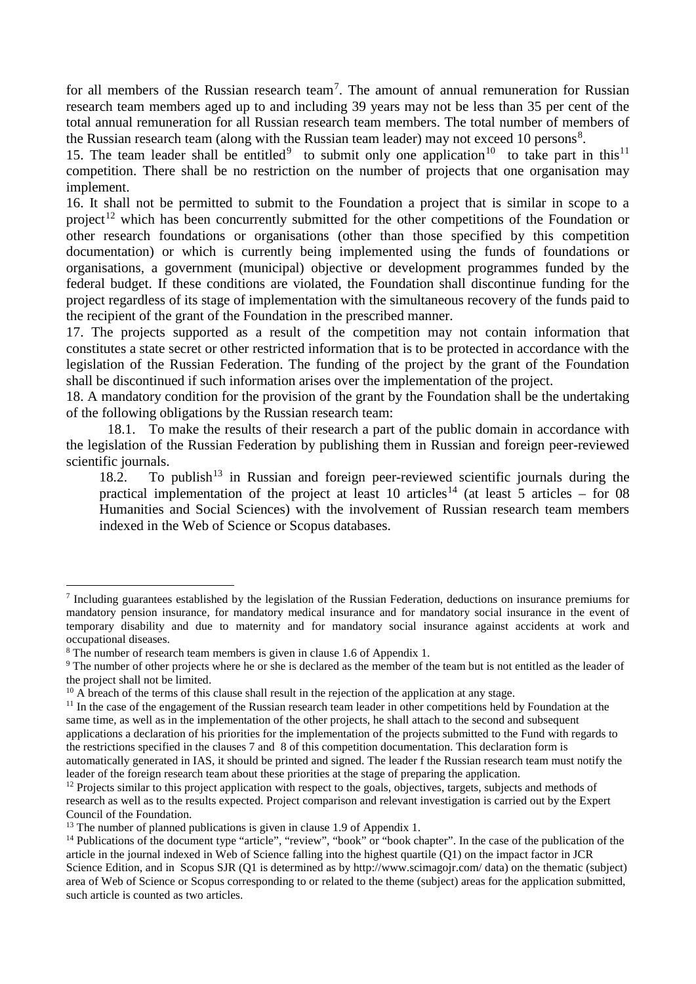for all members of the Russian research team<sup>[7](#page-2-0)</sup>. The amount of annual remuneration for Russian research team members aged up to and including 39 years may not be less than 35 per cent of the total annual remuneration for all Russian research team members. The total number of members of the Russian research team (along with the Russian team leader) may not exceed 10 persons<sup>[8](#page-2-1)</sup>.

15. The team leader shall be entitled<sup>[9](#page-2-2)</sup> to submit only one application<sup>10</sup> to take part in this<sup>11</sup> competition. There shall be no restriction on the number of projects that one organisation may implement.

16. It shall not be permitted to submit to the Foundation a project that is similar in scope to a project<sup>[12](#page-2-5)</sup> which has been concurrently submitted for the other competitions of the Foundation or other research foundations or organisations (other than those specified by this competition documentation) or which is currently being implemented using the funds of foundations or organisations, a government (municipal) objective or development programmes funded by the federal budget. If these conditions are violated, the Foundation shall discontinue funding for the project regardless of its stage of implementation with the simultaneous recovery of the funds paid to the recipient of the grant of the Foundation in the prescribed manner.

17. The projects supported as a result of the competition may not contain information that constitutes a state secret or other restricted information that is to be protected in accordance with the legislation of the Russian Federation. The funding of the project by the grant of the Foundation shall be discontinued if such information arises over the implementation of the project.

18. A mandatory condition for the provision of the grant by the Foundation shall be the undertaking of the following obligations by the Russian research team:

18.1. To make the results of their research a part of the public domain in accordance with the legislation of the Russian Federation by publishing them in Russian and foreign peer-reviewed scientific journals.

18.2. To publish<sup>[13](#page-2-6)</sup> in Russian and foreign peer-reviewed scientific journals during the practical implementation of the project at least 10 articles<sup>[14](#page-2-7)</sup> (at least 5 articles – for 08 Humanities and Social Sciences) with the involvement of Russian research team members indexed in the Web of Science or Scopus databases.

<span id="page-2-0"></span> <sup>7</sup> Including guarantees established by the legislation of the Russian Federation, deductions on insurance premiums for mandatory pension insurance, for mandatory medical insurance and for mandatory social insurance in the event of temporary disability and due to maternity and for mandatory social insurance against accidents at work and occupational diseases.

<span id="page-2-1"></span><sup>&</sup>lt;sup>8</sup> The number of research team members is given in clause 1.6 of Appendix 1.

<span id="page-2-2"></span><sup>&</sup>lt;sup>9</sup> The number of other projects where he or she is declared as the member of the team but is not entitled as the leader of the project shall not be limited.

<span id="page-2-3"></span><sup>&</sup>lt;sup>10</sup> A breach of the terms of this clause shall result in the rejection of the application at any stage.

<span id="page-2-4"></span><sup>&</sup>lt;sup>11</sup> In the case of the engagement of the Russian research team leader in other competitions held by Foundation at the same time, as well as in the implementation of the other projects, he shall attach to the second and subsequent applications a declaration of his priorities for the implementation of the projects submitted to the Fund with regards to the restrictions specified in the clauses 7 and 8 of this competition documentation. This declaration form is automatically generated in IAS, it should be printed and signed. The leader f the Russian research team must notify the leader of the foreign research team about these priorities at the stage of preparing the application.

<span id="page-2-5"></span><sup>&</sup>lt;sup>12</sup> Projects similar to this project application with respect to the goals, objectives, targets, subjects and methods of research as well as to the results expected. Project comparison and relevant investigation is carried out by the Expert Council of the Foundation.

<span id="page-2-6"></span> $13$  The number of planned publications is given in clause 1.9 of Appendix 1.

<span id="page-2-7"></span><sup>&</sup>lt;sup>14</sup> Publications of the document type "article", "review", "book" or "book chapter". In the case of the publication of the article in the journal indexed in Web of Science falling into the highest quartile (Q1) on the impact factor in JCR Science Edition, and in Scopus SJR (Q1 is determined as by http://www.scimagojr.com/ data) on the thematic (subject) area of Web of Science or Scopus corresponding to or related to the theme (subject) areas for the application submitted, such article is counted as two articles.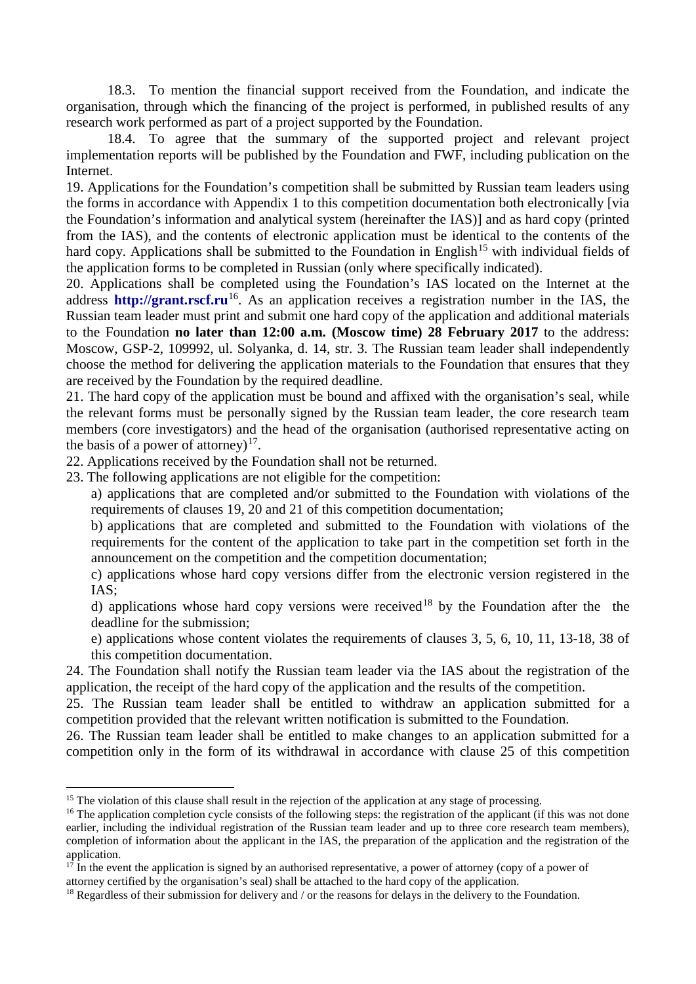18.3. To mention the financial support received from the Foundation, and indicate the organisation, through which the financing of the project is performed, in published results of any research work performed as part of a project supported by the Foundation.

18.4. To agree that the summary of the supported project and relevant project implementation reports will be published by the Foundation and FWF, including publication on the Internet.

19. Applications for the Foundation's competition shall be submitted by Russian team leaders using the forms in accordance with Appendix 1 to this competition documentation both electronically [via the Foundation's information and analytical system (hereinafter the IAS)] and as hard copy (printed from the IAS), and the contents of electronic application must be identical to the contents of the hard copy. Applications shall be submitted to the Foundation in English<sup>[15](#page-3-0)</sup> with individual fields of the application forms to be completed in Russian (only where specifically indicated).

20. Applications shall be completed using the Foundation's IAS located on the Internet at the address **[http://grant.rscf.ru](http://grant.rscf.ru/)**<sup>16</sup>. As an application receives a registration number in the IAS, the Russian team leader must print and submit one hard copy of the application and additional materials to the Foundation **no later than 12:00 a.m. (Moscow time) 28 February 2017** to the address: Moscow, GSP-2, 109992, ul. Solyanka, d. 14, str. 3. The Russian team leader shall independently choose the method for delivering the application materials to the Foundation that ensures that they are received by the Foundation by the required deadline.

21. The hard copy of the application must be bound and affixed with the organisation's seal, while the relevant forms must be personally signed by the Russian team leader, the core research team members (core investigators) and the head of the organisation (authorised representative acting on the basis of a power of attorney)<sup>17</sup>.

22. Applications received by the Foundation shall not be returned.

23. The following applications are not eligible for the competition:

a) applications that are completed and/or submitted to the Foundation with violations of the requirements of clauses 19, 20 and 21 of this competition documentation;

b) applications that are completed and submitted to the Foundation with violations of the requirements for the content of the application to take part in the competition set forth in the announcement on the competition and the competition documentation;

c) applications whose hard copy versions differ from the electronic version registered in the IAS;

d) applications whose hard copy versions were received<sup>[18](#page-3-3)</sup> by the Foundation after the the deadline for the submission;

e) applications whose content violates the requirements of clauses 3, 5, 6, 10, 11, 13-18, 38 of this competition documentation.

24. The Foundation shall notify the Russian team leader via the IAS about the registration of the application, the receipt of the hard copy of the application and the results of the competition.

25. The Russian team leader shall be entitled to withdraw an application submitted for a competition provided that the relevant written notification is submitted to the Foundation.

26. The Russian team leader shall be entitled to make changes to an application submitted for a competition only in the form of its withdrawal in accordance with clause 25 of this competition

<span id="page-3-0"></span><sup>&</sup>lt;sup>15</sup> The violation of this clause shall result in the rejection of the application at any stage of processing.

<span id="page-3-1"></span><sup>&</sup>lt;sup>16</sup> The application completion cycle consists of the following steps: the registration of the applicant (if this was not done earlier, including the individual registration of the Russian team leader and up to three core research team members), completion of information about the applicant in the IAS, the preparation of the application and the registration of the application.

<span id="page-3-2"></span> $17 \text{ h}$  in the event the application is signed by an authorised representative, a power of attorney (copy of a power of attorney certified by the organisation's seal) shall be attached to the hard copy of the application.

<span id="page-3-3"></span><sup>&</sup>lt;sup>18</sup> Regardless of their submission for delivery and / or the reasons for delays in the delivery to the Foundation.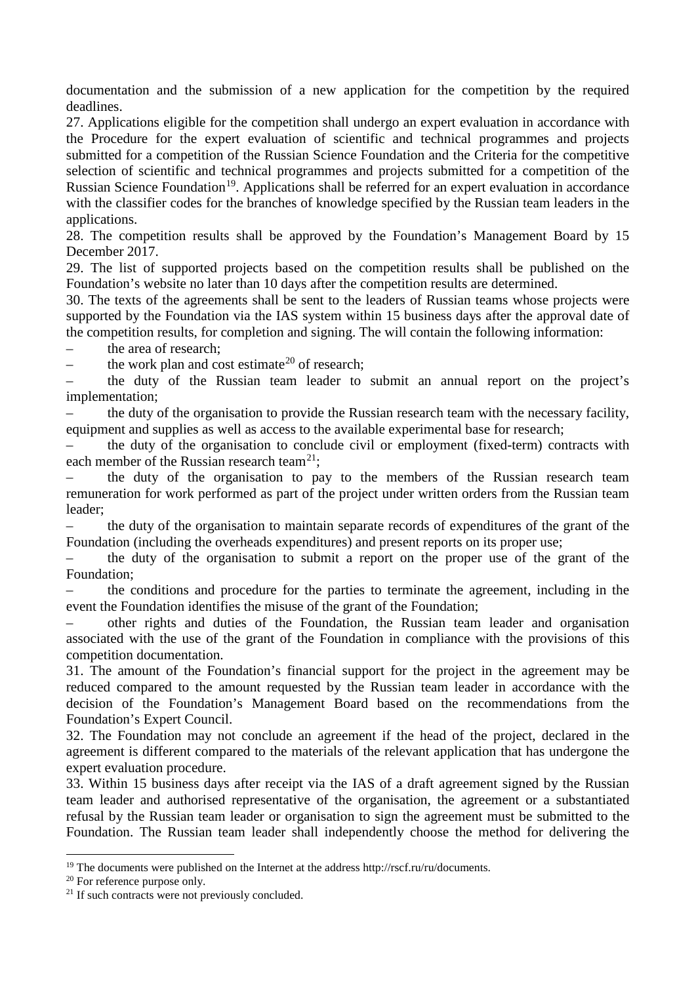documentation and the submission of a new application for the competition by the required deadlines.

27. Applications eligible for the competition shall undergo an expert evaluation in accordance with the Procedure for the expert evaluation of scientific and technical programmes and projects submitted for a competition of the Russian Science Foundation and the Criteria for the competitive selection of scientific and technical programmes and projects submitted for a competition of the Russian Science Foundation<sup>19</sup>. Applications shall be referred for an expert evaluation in accordance with the classifier codes for the branches of knowledge specified by the Russian team leaders in the applications.

28. The competition results shall be approved by the Foundation's Management Board by 15 December 2017.

29. The list of supported projects based on the competition results shall be published on the Foundation's website no later than 10 days after the competition results are determined.

30. The texts of the agreements shall be sent to the leaders of Russian teams whose projects were supported by the Foundation via the IAS system within 15 business days after the approval date of the competition results, for completion and signing. The will contain the following information:

the area of research;

the work plan and cost estimate<sup>[20](#page-4-1)</sup> of research:

– the duty of the Russian team leader to submit an annual report on the project's implementation;

– the duty of the organisation to provide the Russian research team with the necessary facility, equipment and supplies as well as access to the available experimental base for research;

– the duty of the organisation to conclude civil or employment (fixed-term) contracts with each member of the Russian research team<sup>21</sup>;

– the duty of the organisation to pay to the members of the Russian research team remuneration for work performed as part of the project under written orders from the Russian team leader;

– the duty of the organisation to maintain separate records of expenditures of the grant of the Foundation (including the overheads expenditures) and present reports on its proper use;

– the duty of the organisation to submit a report on the proper use of the grant of the Foundation;

– the conditions and procedure for the parties to terminate the agreement, including in the event the Foundation identifies the misuse of the grant of the Foundation;

– other rights and duties of the Foundation, the Russian team leader and organisation associated with the use of the grant of the Foundation in compliance with the provisions of this competition documentation.

31. The amount of the Foundation's financial support for the project in the agreement may be reduced compared to the amount requested by the Russian team leader in accordance with the decision of the Foundation's Management Board based on the recommendations from the Foundation's Expert Council.

32. The Foundation may not conclude an agreement if the head of the project, declared in the agreement is different compared to the materials of the relevant application that has undergone the expert evaluation procedure.

33. Within 15 business days after receipt via the IAS of a draft agreement signed by the Russian team leader and authorised representative of the organisation, the agreement or a substantiated refusal by the Russian team leader or organisation to sign the agreement must be submitted to the Foundation. The Russian team leader shall independently choose the method for delivering the

<span id="page-4-0"></span><sup>&</sup>lt;sup>19</sup> The documents were published on the Internet at the address http://rscf.ru/ru/documents.

<span id="page-4-1"></span><sup>&</sup>lt;sup>20</sup> For reference purpose only.

<span id="page-4-2"></span><sup>&</sup>lt;sup>21</sup> If such contracts were not previously concluded.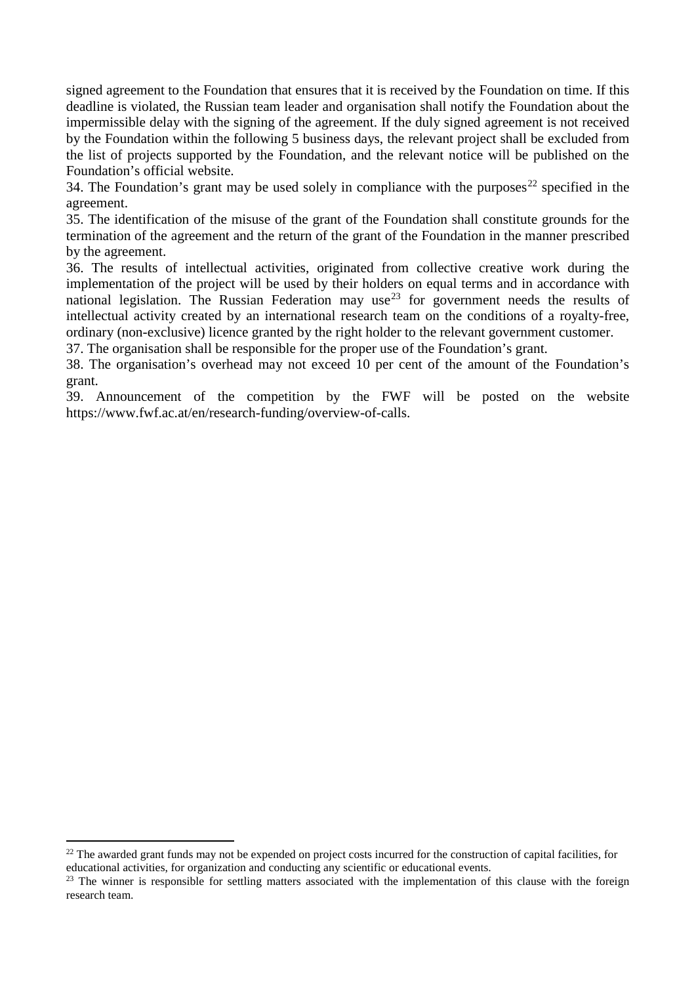signed agreement to the Foundation that ensures that it is received by the Foundation on time. If this deadline is violated, the Russian team leader and organisation shall notify the Foundation about the impermissible delay with the signing of the agreement. If the duly signed agreement is not received by the Foundation within the following 5 business days, the relevant project shall be excluded from the list of projects supported by the Foundation, and the relevant notice will be published on the Foundation's official website.

34. The Foundation's grant may be used solely in compliance with the purposes<sup>[22](#page-5-0)</sup> specified in the agreement.

35. The identification of the misuse of the grant of the Foundation shall constitute grounds for the termination of the agreement and the return of the grant of the Foundation in the manner prescribed by the agreement.

36. The results of intellectual activities, originated from collective creative work during the implementation of the project will be used by their holders on equal terms and in accordance with national legislation. The Russian Federation may use<sup>[23](#page-5-1)</sup> for government needs the results of intellectual activity created by an international research team on the conditions of a royalty-free, ordinary (non-exclusive) licence granted by the right holder to the relevant government customer.

37. The organisation shall be responsible for the proper use of the Foundation's grant.

38. The organisation's overhead may not exceed 10 per cent of the amount of the Foundation's grant.

39. Announcement of the competition by the FWF will be posted on the website https://www.fwf.ac.at/en/research-funding/overview-of-calls.

<span id="page-5-0"></span><sup>&</sup>lt;sup>22</sup> The awarded grant funds may not be expended on project costs incurred for the construction of capital facilities, for educational activities, for organization and conducting any scientific or educational events.

<span id="page-5-1"></span><sup>&</sup>lt;sup>23</sup> The winner is responsible for settling matters associated with the implementation of this clause with the foreign research team.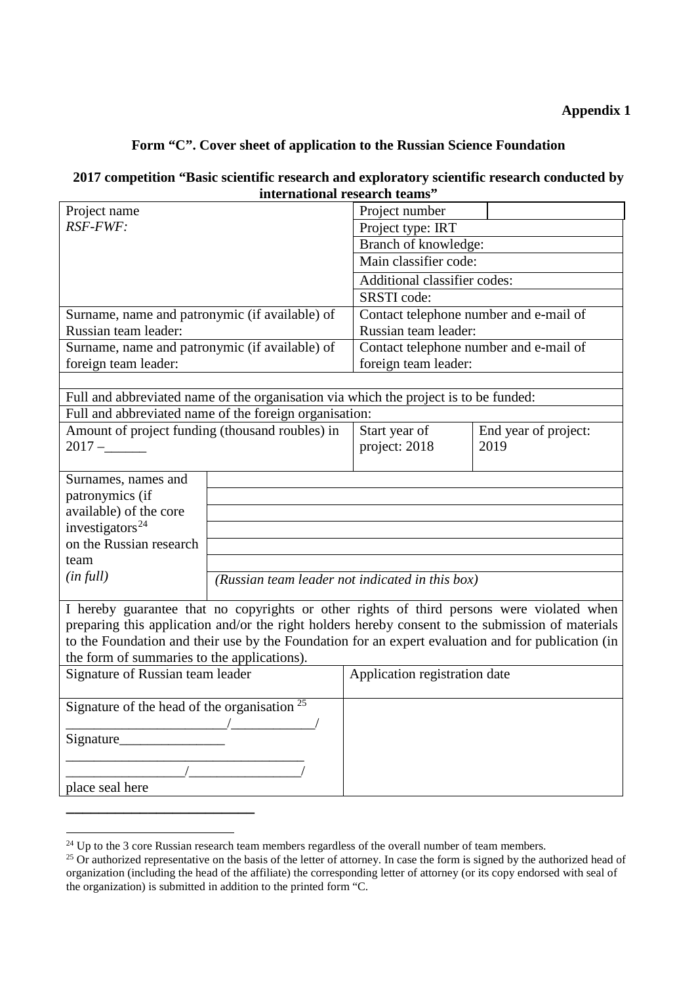## **Appendix 1**

# **Form "C". Cover sheet of application to the Russian Science Foundation**

## **2017 competition "Basic scientific research and exploratory scientific research conducted by international research teams"**

| Project name                                                                                                                                                                                            |                                                                                           | Project number                                  |                      |  |  |
|---------------------------------------------------------------------------------------------------------------------------------------------------------------------------------------------------------|-------------------------------------------------------------------------------------------|-------------------------------------------------|----------------------|--|--|
| RSF-FWF:                                                                                                                                                                                                |                                                                                           | Project type: IRT                               |                      |  |  |
|                                                                                                                                                                                                         |                                                                                           | Branch of knowledge:                            |                      |  |  |
|                                                                                                                                                                                                         |                                                                                           | Main classifier code:                           |                      |  |  |
|                                                                                                                                                                                                         |                                                                                           | Additional classifier codes:                    |                      |  |  |
|                                                                                                                                                                                                         |                                                                                           | SRSTI code:                                     |                      |  |  |
| Surname, name and patronymic (if available) of                                                                                                                                                          |                                                                                           | Contact telephone number and e-mail of          |                      |  |  |
| Russian team leader:                                                                                                                                                                                    |                                                                                           | Russian team leader:                            |                      |  |  |
| Surname, name and patronymic (if available) of                                                                                                                                                          |                                                                                           | Contact telephone number and e-mail of          |                      |  |  |
| foreign team leader:                                                                                                                                                                                    |                                                                                           | foreign team leader:                            |                      |  |  |
|                                                                                                                                                                                                         |                                                                                           |                                                 |                      |  |  |
| Full and abbreviated name of the organisation via which the project is to be funded:                                                                                                                    |                                                                                           |                                                 |                      |  |  |
|                                                                                                                                                                                                         | Full and abbreviated name of the foreign organisation:                                    |                                                 |                      |  |  |
| Amount of project funding (thousand roubles) in                                                                                                                                                         |                                                                                           | Start year of                                   | End year of project: |  |  |
| $2017 -$                                                                                                                                                                                                |                                                                                           | project: 2018                                   | 2019                 |  |  |
|                                                                                                                                                                                                         |                                                                                           |                                                 |                      |  |  |
| Surnames, names and                                                                                                                                                                                     |                                                                                           |                                                 |                      |  |  |
| patronymics (if                                                                                                                                                                                         |                                                                                           |                                                 |                      |  |  |
| available) of the core                                                                                                                                                                                  |                                                                                           |                                                 |                      |  |  |
| investigators $^{24}$                                                                                                                                                                                   |                                                                                           |                                                 |                      |  |  |
| on the Russian research                                                                                                                                                                                 |                                                                                           |                                                 |                      |  |  |
| team                                                                                                                                                                                                    |                                                                                           |                                                 |                      |  |  |
| (infull)                                                                                                                                                                                                |                                                                                           | (Russian team leader not indicated in this box) |                      |  |  |
|                                                                                                                                                                                                         | I hereby guarantee that no copyrights or other rights of third persons were violated when |                                                 |                      |  |  |
|                                                                                                                                                                                                         |                                                                                           |                                                 |                      |  |  |
| preparing this application and/or the right holders hereby consent to the submission of materials<br>to the Foundation and their use by the Foundation for an expert evaluation and for publication (in |                                                                                           |                                                 |                      |  |  |
| the form of summaries to the applications).                                                                                                                                                             |                                                                                           |                                                 |                      |  |  |
| Signature of Russian team leader                                                                                                                                                                        |                                                                                           | Application registration date                   |                      |  |  |
|                                                                                                                                                                                                         |                                                                                           |                                                 |                      |  |  |
| Signature of the head of the organisation $25$                                                                                                                                                          |                                                                                           |                                                 |                      |  |  |
| $\sqrt{2}$                                                                                                                                                                                              |                                                                                           |                                                 |                      |  |  |
| Signature                                                                                                                                                                                               |                                                                                           |                                                 |                      |  |  |
|                                                                                                                                                                                                         |                                                                                           |                                                 |                      |  |  |
|                                                                                                                                                                                                         |                                                                                           |                                                 |                      |  |  |
| place seal here                                                                                                                                                                                         |                                                                                           |                                                 |                      |  |  |
|                                                                                                                                                                                                         |                                                                                           |                                                 |                      |  |  |

<sup>&</sup>lt;sup>24</sup> Up to the 3 core Russian research team members regardless of the overall number of team members.

<span id="page-6-1"></span><span id="page-6-0"></span> $25$  Or authorized representative on the basis of the letter of attorney. In case the form is signed by the authorized head of organization (including the head of the affiliate) the corresponding letter of attorney (or its copy endorsed with seal of the organization) is submitted in addition to the printed form "C.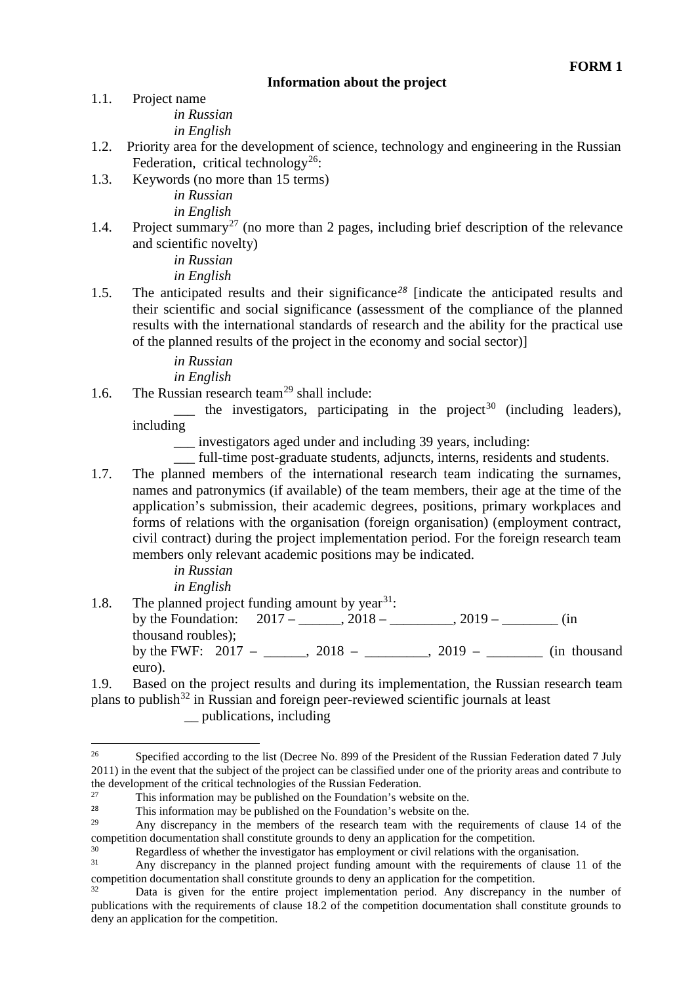### **Information about the project**

- 1.1. Project name *in Russian in English*
- 1.2. Priority area for the development of science, technology and engineering in the Russian Federation, critical technology<sup>[26](#page-7-0)</sup>:
- 1.3. Keywords (no more than 15 terms) *in Russian in English*
- 1.4. Project summary<sup>[27](#page-7-1)</sup> (no more than 2 pages, including brief description of the relevance and scientific novelty)

*in Russian in English*

1.5. The anticipated results and their significance*[28](#page-7-2)* [indicate the anticipated results and their scientific and social significance (assessment of the compliance of the planned results with the international standards of research and the ability for the practical use of the planned results of the project in the economy and social sector)]

*in Russian*

*in English*

1.6. The Russian research team<sup>[29](#page-7-3)</sup> shall include:

 $\frac{1}{\sqrt{1-\frac{1}{\pi}}}$  the investigators, participating in the project<sup>[30](#page-7-4)</sup> (including leaders), including

\_\_\_ investigators aged under and including 39 years, including:

\_\_\_ full-time post-graduate students, adjuncts, interns, residents and students.

1.7. The planned members of the international research team indicating the surnames, names and patronymics (if available) of the team members, their age at the time of the application's submission, their academic degrees, positions, primary workplaces and forms of relations with the organisation (foreign organisation) (employment contract, civil contract) during the project implementation period. For the foreign research team members only relevant academic positions may be indicated.

> *in Russian in English*

1.8. The planned project funding amount by year<sup>[31](#page-7-5)</sup>: by the Foundation:  $2017 - 2018 - 2018 - 2019 -$  (in

thousand roubles); by the FWF: 2017 – \_\_\_\_\_, 2018 – \_\_\_\_\_\_\_, 2019 – \_\_\_\_\_\_\_\_ (in thousand euro).

1.9. Based on the project results and during its implementation, the Russian research team plans to publish[32](#page-7-6) in Russian and foreign peer-reviewed scientific journals at least \_\_ publications, including

<span id="page-7-0"></span><sup>&</sup>lt;sup>26</sup> Specified according to the list (Decree No. 899 of the President of the Russian Federation dated 7 July 2011) in the event that the subject of the project can be classified under one of the priority areas and contribute to

<span id="page-7-1"></span>the development of the critical technologies of the Russian Federation.<br><sup>27</sup> This information may be published on the Foundation's website on the.<br><sup>28</sup> This information may be published on the Foundation's website on the

<span id="page-7-2"></span><sup>&</sup>lt;sup>28</sup> This information may be published on the Foundation's website on the.

<span id="page-7-3"></span>Any discrepancy in the members of the research team with the requirements of clause 14 of the competition documentation shall constitute grounds to deny an application for the competition.

<span id="page-7-4"></span><sup>&</sup>lt;sup>30</sup> Regardless of whether the investigator has employment or civil relations with the organisation.<br><sup>31</sup> Any discrepancy in the planned project funding amount with the requirements of clause 1

<span id="page-7-5"></span>Any discrepancy in the planned project funding amount with the requirements of clause 11 of the competition documentation shall constitute grounds to deny an application for the competition.

<span id="page-7-6"></span>Data is given for the entire project implementation period. Any discrepancy in the number of publications with the requirements of clause 18.2 of the competition documentation shall constitute grounds to deny an application for the competition.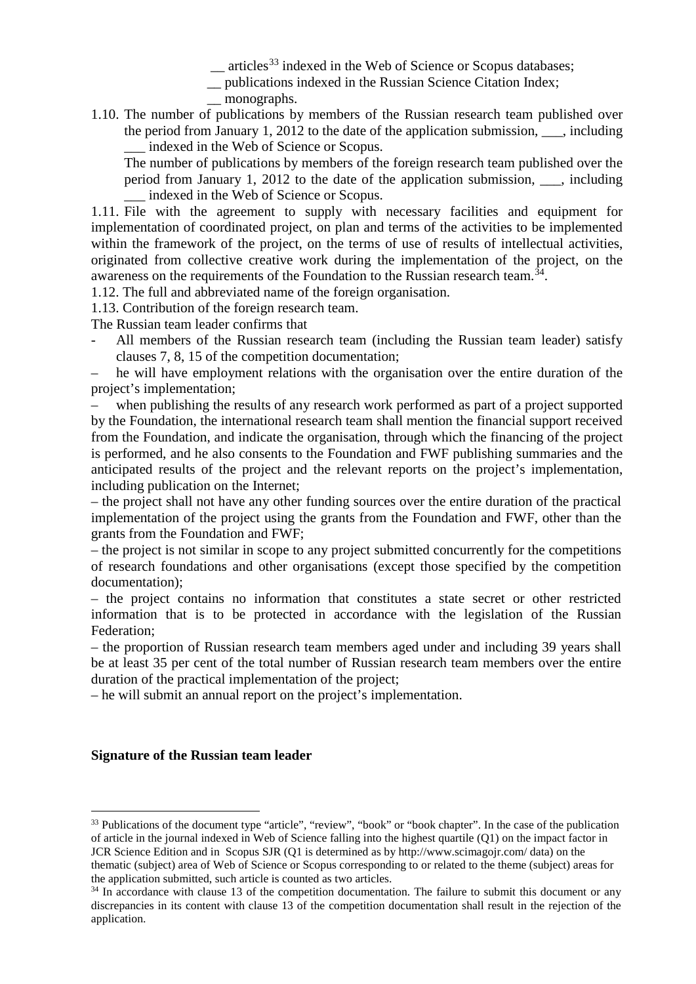$\equiv$  articles<sup>[33](#page-8-0)</sup> indexed in the Web of Science or Scopus databases;

\_\_ publications indexed in the Russian Science Citation Index;

\_\_ monographs.

1.10. The number of publications by members of the Russian research team published over the period from January 1, 2012 to the date of the application submission, \_\_\_, including \_\_\_ indexed in the Web of Science or Scopus.

The number of publications by members of the foreign research team published over the period from January 1, 2012 to the date of the application submission, \_\_\_, including \_\_\_ indexed in the Web of Science or Scopus.

1.11. File with the agreement to supply with necessary facilities and equipment for implementation of coordinated project, on plan and terms of the activities to be implemented within the framework of the project, on the terms of use of results of intellectual activities, originated from collective creative work during the implementation of the project, on the awareness on the requirements of the Foundation to the Russian research team.<sup>34</sup>.

1.12. The full and abbreviated name of the foreign organisation.

1.13. Contribution of the foreign research team.

The Russian team leader confirms that

All members of the Russian research team (including the Russian team leader) satisfy clauses 7, 8, 15 of the competition documentation;

– he will have employment relations with the organisation over the entire duration of the project's implementation;

– when publishing the results of any research work performed as part of a project supported by the Foundation, the international research team shall mention the financial support received from the Foundation, and indicate the organisation, through which the financing of the project is performed, and he also consents to the Foundation and FWF publishing summaries and the anticipated results of the project and the relevant reports on the project's implementation, including publication on the Internet;

– the project shall not have any other funding sources over the entire duration of the practical implementation of the project using the grants from the Foundation and FWF, other than the grants from the Foundation and FWF;

– the project is not similar in scope to any project submitted concurrently for the competitions of research foundations and other organisations (except those specified by the competition documentation);

– the project contains no information that constitutes a state secret or other restricted information that is to be protected in accordance with the legislation of the Russian Federation;

– the proportion of Russian research team members aged under and including 39 years shall be at least 35 per cent of the total number of Russian research team members over the entire duration of the practical implementation of the project;

– he will submit an annual report on the project's implementation.

#### **Signature of the Russian team leader**

<span id="page-8-0"></span><sup>&</sup>lt;sup>33</sup> Publications of the document type "article", "review", "book" or "book chapter". In the case of the publication of article in the journal indexed in Web of Science falling into the highest quartile (Q1) on the impact factor in JCR Science Edition and in Scopus SJR (Q1 is determined as by http://www.scimagojr.com/ data) on the thematic (subject) area of Web of Science or Scopus corresponding to or related to the theme (subject) areas for the application submitted, such article is counted as two articles.

<span id="page-8-1"></span><sup>&</sup>lt;sup>34</sup> In accordance with clause 13 of the competition documentation. The failure to submit this document or any discrepancies in its content with clause 13 of the competition documentation shall result in the rejection of the application.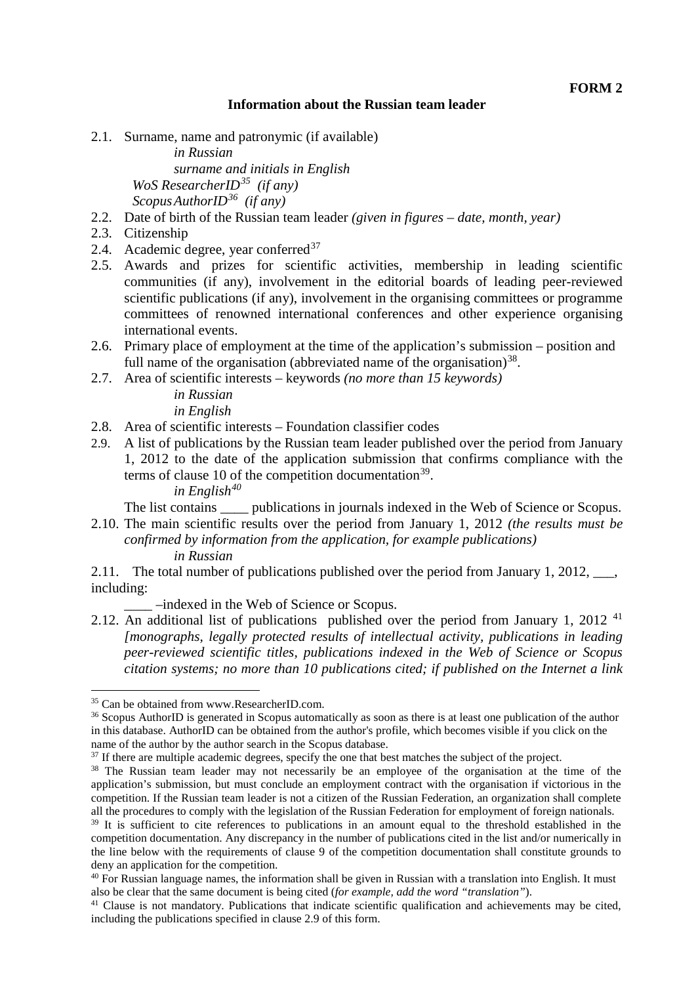#### **Information about the Russian team leader**

2.1. Surname, name and patronymic (if available)

*in Russian surname and initials in English WoS ResearcherID[35](#page-9-0) (if any) ScopusAuthorID[36](#page-9-1) (if any)*

- 2.2. Date of birth of the Russian team leader *(given in figures – date, month, year)*
- 2.3. Citizenship
- 2.4. Academic degree, year conferred $37$
- 2.5. Awards and prizes for scientific activities, membership in leading scientific communities (if any), involvement in the editorial boards of leading peer-reviewed scientific publications (if any), involvement in the organising committees or programme committees of renowned international conferences and other experience organising international events.
- 2.6. Primary place of employment at the time of the application's submission position and full name of the organisation (abbreviated name of the organisation)<sup>38</sup>.
- 2.7. Area of scientific interests keywords *(no more than 15 keywords)*

*in Russian in English*

- 2.8. Area of scientific interests Foundation classifier codes
- 2.9. A list of publications by the Russian team leader published over the period from January 1, 2012 to the date of the application submission that confirms compliance with the terms of clause 10 of the competition documentation<sup>39</sup>. *in English[40](#page-9-5)*

The list contains bublications in journals indexed in the Web of Science or Scopus.

2.10. The main scientific results over the period from January 1, 2012 *(the results must be confirmed by information from the application, for example publications) in Russian*

2.11. The total number of publications published over the period from January 1, 2012, \_\_\_, including:

\_\_\_\_ –indexed in the Web of Science or Scopus.

2.12. An additional list of publications published over the period from January 1, 2012<sup>[41](#page-9-6)</sup> *[monographs, legally protected results of intellectual activity, publications in leading peer-reviewed scientific titles, publications indexed in the Web of Science or Scopus citation systems; no more than 10 publications cited; if published on the Internet a link* 

<span id="page-9-0"></span> <sup>35</sup> Can be obtained from www.ResearcherID.com.

<span id="page-9-1"></span><sup>&</sup>lt;sup>36</sup> Scopus AuthorID is generated in Scopus automatically as soon as there is at least one publication of the author in this database. AuthorID can be obtained from the author's profile, which becomes visible if you click on the name of the author by the author search in the Scopus database.

<sup>&</sup>lt;sup>37</sup> If there are multiple academic degrees, specify the one that best matches the subject of the project.

<span id="page-9-3"></span><span id="page-9-2"></span><sup>&</sup>lt;sup>38</sup> The Russian team leader may not necessarily be an employee of the organisation at the time of the application's submission, but must conclude an employment contract with the organisation if victorious in the competition. If the Russian team leader is not a citizen of the Russian Federation, an organization shall complete all the procedures to comply with the legislation of the Russian Federation for employment of foreign nationals.

<span id="page-9-4"></span><sup>&</sup>lt;sup>39</sup> It is sufficient to cite references to publications in an amount equal to the threshold established in the competition documentation. Any discrepancy in the number of publications cited in the list and/or numerically in the line below with the requirements of clause 9 of the competition documentation shall constitute grounds to deny an application for the competition.

<span id="page-9-5"></span><sup>&</sup>lt;sup>40</sup> For Russian language names, the information shall be given in Russian with a translation into English. It must also be clear that the same document is being cited (for example, add the word "translation").

<span id="page-9-6"></span><sup>&</sup>lt;sup>41</sup> Clause is not mandatory. Publications that indicate scientific qualification and achievements may be cited, including the publications specified in clause 2.9 of this form.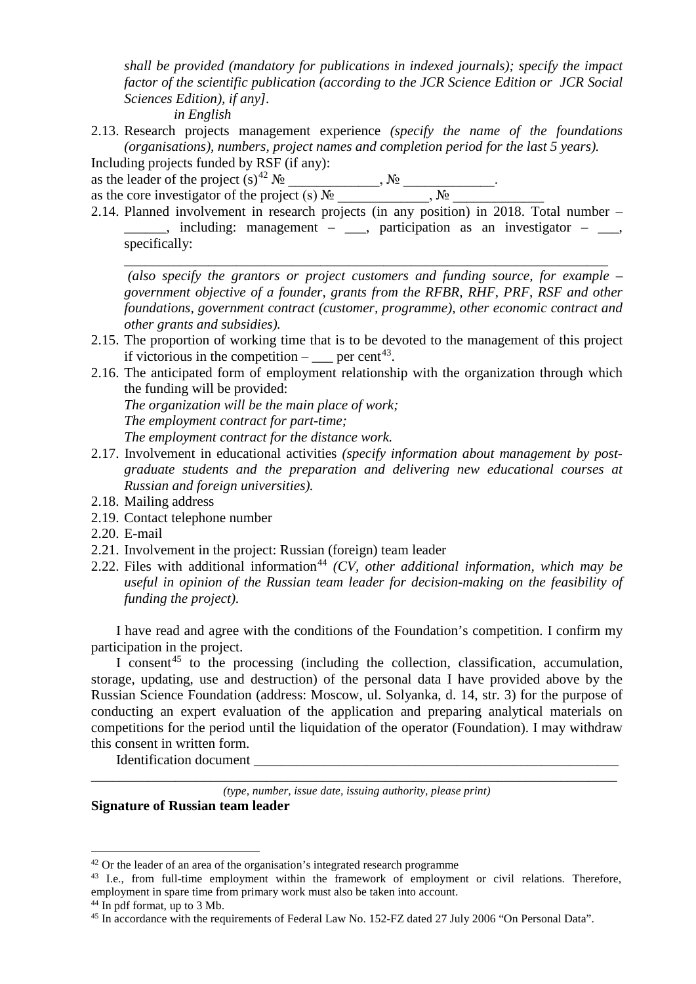*shall be provided (mandatory for publications in indexed journals); specify the impact factor of the scientific publication (according to the JCR Science Edition or JCR Social Sciences Edition), if any]. in English*

2.13. Research projects management experience *(specify the name of the foundations (organisations), numbers, project names and completion period for the last 5 years).*

Including projects funded by RSF (if any):

as the leader of the project  $(s)^{42}$  $(s)^{42}$  $(s)^{42}$   $\mathcal{N}_2$  \_\_\_\_\_\_\_\_\_,  $\mathcal{N}_2$  \_\_\_\_\_\_\_\_\_\_\_.

as the core investigator of the project (s)  $\mathcal{N}_{\mathfrak{D}}$  \_\_\_\_\_\_\_\_\_,  $\mathcal{N}_{\mathfrak{D}}$ 

2.14. Planned involvement in research projects (in any position) in 2018. Total number –  $\Box$ , including: management –  $\Box$ , participation as an investigator –  $\Box$ , specifically: \_\_\_\_\_\_\_\_\_\_\_\_\_\_\_\_\_\_\_\_\_\_\_\_\_\_\_\_\_\_\_\_\_\_\_\_\_\_\_\_\_\_\_\_\_\_\_\_\_\_\_\_\_\_\_\_\_\_\_\_\_\_\_\_\_\_\_\_\_

*(also specify the grantors or project customers and funding source, for example – government objective of a founder, grants from the RFBR, RHF, PRF, RSF and other foundations, government contract (customer, programme), other economic contract and other grants and subsidies).*

- 2.15. The proportion of working time that is to be devoted to the management of this project if victorious in the competition –  $=$  per cent<sup>43</sup>.
- 2.16. The anticipated form of employment relationship with the organization through which the funding will be provided:

*The organization will be the main place of work;*

*The employment contract for part-time;*

*The employment contract for the distance work.*

- 2.17. Involvement in educational activities *(specify information about management by postgraduate students and the preparation and delivering new educational courses at Russian and foreign universities).*
- 2.18. Mailing address
- 2.19. Contact telephone number
- 2.20. E-mail
- 2.21. Involvement in the project: Russian (foreign) team leader
- 2.22. Files with additional information<sup>[44](#page-10-2)</sup> *(CV, other additional information, which may be useful in opinion of the Russian team leader for decision-making on the feasibility of funding the project)*.

I have read and agree with the conditions of the Foundation's competition. I confirm my participation in the project.

I consent<sup>[45](#page-10-3)</sup> to the processing (including the collection, classification, accumulation, storage, updating, use and destruction) of the personal data I have provided above by the Russian Science Foundation (address: Moscow, ul. Solyanka, d. 14, str. 3) for the purpose of conducting an expert evaluation of the application and preparing analytical materials on competitions for the period until the liquidation of the operator (Foundation). I may withdraw this consent in written form.

Identification document

\_\_\_\_\_\_\_\_\_\_\_\_\_\_\_\_\_\_\_\_\_\_\_\_\_\_\_\_\_\_\_\_\_\_\_\_\_\_\_\_\_\_\_\_\_\_\_\_\_\_\_\_\_\_\_\_\_\_\_\_\_\_\_\_\_\_\_\_\_\_\_\_\_\_\_ *(type, number, issue date, issuing authority, please print)* **Signature of Russian team leader**

<span id="page-10-0"></span><sup>&</sup>lt;sup>42</sup> Or the leader of an area of the organisation's integrated research programme

<span id="page-10-1"></span><sup>&</sup>lt;sup>43</sup> I.e., from full-time employment within the framework of employment or civil relations. Therefore, employment in spare time from primary work must also be taken into account.

<span id="page-10-2"></span><sup>44</sup> In pdf format, up to 3 Mb.

<span id="page-10-3"></span><sup>45</sup> In accordance with the requirements of Federal Law No. 152-FZ dated 27 July 2006 "On Personal Data".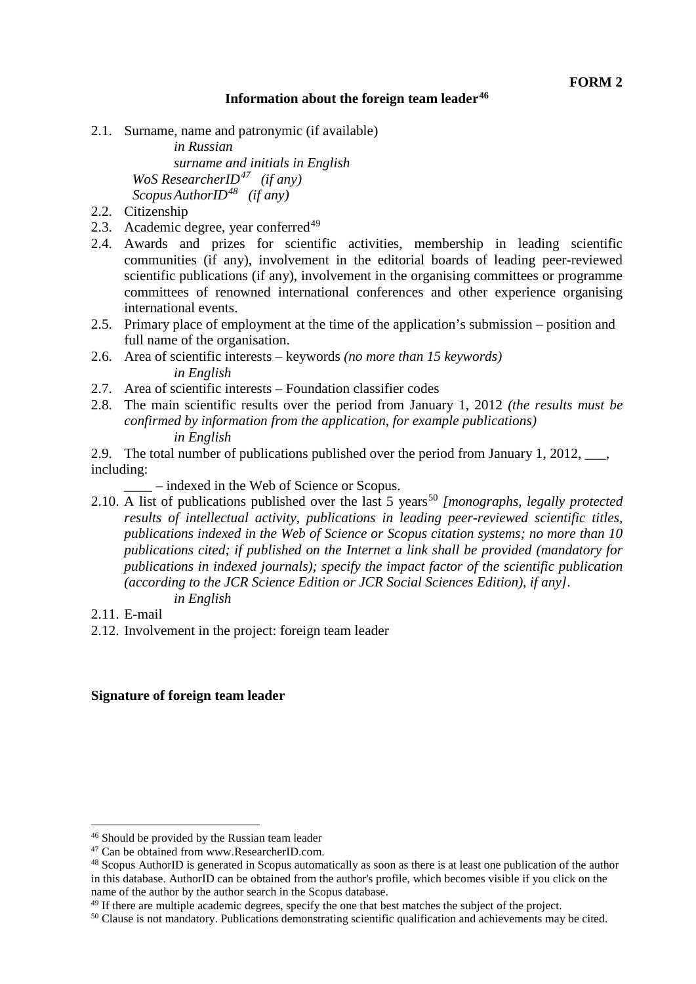### **Information about the foreign team leader[46](#page-11-0)**

2.1. Surname, name and patronymic (if available)

*in Russian surname and initials in English WoS ResearcherID[47](#page-11-1) (if any) ScopusAuthorID[48](#page-11-2) (if any)*

- 2.2. Citizenship
- 2.3. Academic degree, year conferred $49$
- 2.4. Awards and prizes for scientific activities, membership in leading scientific communities (if any), involvement in the editorial boards of leading peer-reviewed scientific publications (if any), involvement in the organising committees or programme committees of renowned international conferences and other experience organising international events.
- 2.5. Primary place of employment at the time of the application's submission position and full name of the organisation.
- 2.6. Area of scientific interests keywords *(no more than 15 keywords) in English*
- 2.7. Area of scientific interests Foundation classifier codes
- 2.8. The main scientific results over the period from January 1, 2012 *(the results must be confirmed by information from the application, for example publications) in English*
- 2.9. The total number of publications published over the period from January 1, 2012, \_\_\_, including:
	- \_\_\_\_ indexed in the Web of Science or Scopus.
- 2.10. A list of publications published over the last 5 years<sup>[50](#page-11-4)</sup> [monographs, legally protected *results of intellectual activity, publications in leading peer-reviewed scientific titles, publications indexed in the Web of Science or Scopus citation systems; no more than 10 publications cited; if published on the Internet a link shall be provided (mandatory for publications in indexed journals); specify the impact factor of the scientific publication (according to the JCR Science Edition or JCR Social Sciences Edition), if any]. in English*
- 2.11. E-mail
- 2.12. Involvement in the project: foreign team leader

#### **Signature of foreign team leader**

<span id="page-11-0"></span> <sup>46</sup> Should be provided by the Russian team leader

<span id="page-11-1"></span><sup>47</sup> Can be obtained from www.ResearcherID.com.

<span id="page-11-2"></span><sup>48</sup> Scopus AuthorID is generated in Scopus automatically as soon as there is at least one publication of the author in this database. AuthorID can be obtained from the author's profile, which becomes visible if you click on the name of the author by the author search in the Scopus database.

<span id="page-11-3"></span><sup>&</sup>lt;sup>49</sup> If there are multiple academic degrees, specify the one that best matches the subject of the project.

<span id="page-11-4"></span><sup>50</sup> Clause is not mandatory. Publications demonstrating scientific qualification and achievements may be cited.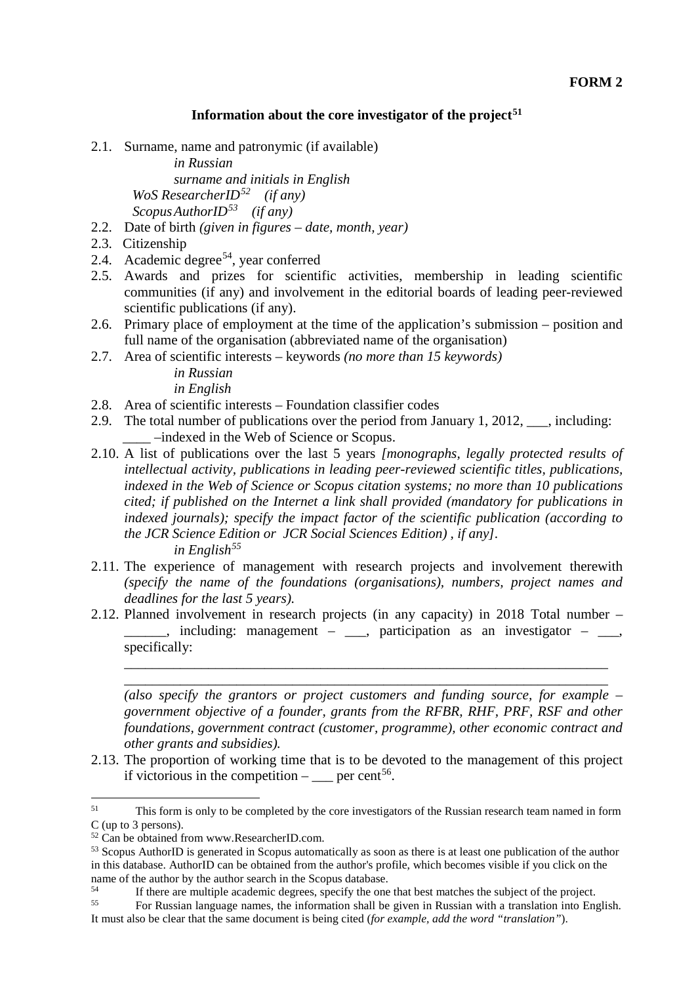#### **Information about the core investigator of the project[51](#page-12-0)**

2.1. Surname, name and patronymic (if available)

*in Russian surname and initials in English WoS ResearcherID[52](#page-12-1) (if any) ScopusAuthorID[53](#page-12-2) (if any)*

- 2.2. Date of birth *(given in figures – date, month, year)*
- 2.3. Citizenship
- 2.4. Academic degree<sup>54</sup>, year conferred
- 2.5. Awards and prizes for scientific activities, membership in leading scientific communities (if any) and involvement in the editorial boards of leading peer-reviewed scientific publications (if any).
- 2.6. Primary place of employment at the time of the application's submission position and full name of the organisation (abbreviated name of the organisation)
- 2.7. Area of scientific interests keywords *(no more than 15 keywords)*

*in Russian in English*

- 2.8. Area of scientific interests Foundation classifier codes
- 2.9. The total number of publications over the period from January 1, 2012, \_\_\_, including: \_\_\_\_ –indexed in the Web of Science or Scopus.
- 2.10. A list of publications over the last 5 years *[monographs, legally protected results of intellectual activity, publications in leading peer-reviewed scientific titles, publications, indexed in the Web of Science or Scopus citation systems; no more than 10 publications cited; if published on the Internet a link shall provided (mandatory for publications in indexed journals); specify the impact factor of the scientific publication (according to the JCR Science Edition or JCR Social Sciences Edition) , if any]. in English[55](#page-12-4)*
- 2.11. The experience of management with research projects and involvement therewith *(specify the name of the foundations (organisations), numbers, project names and deadlines for the last 5 years).*
- 2.12. Planned involvement in research projects (in any capacity) in 2018 Total number  $\Box$ , including: management –  $\Box$ , participation as an investigator –  $\Box$ , specifically:

\_\_\_\_\_\_\_\_\_\_\_\_\_\_\_\_\_\_\_\_\_\_\_\_\_\_\_\_\_\_\_\_\_\_\_\_\_\_\_\_\_\_\_\_\_\_\_\_\_\_\_\_\_\_\_\_\_\_\_\_\_\_\_\_\_\_\_\_\_ \_\_\_\_\_\_\_\_\_\_\_\_\_\_\_\_\_\_\_\_\_\_\_\_\_\_\_\_\_\_\_\_\_\_\_\_\_\_\_\_\_\_\_\_\_\_\_\_\_\_\_\_\_\_\_\_\_\_\_\_\_\_\_\_\_\_\_\_\_

*(also specify the grantors or project customers and funding source, for example – government objective of a founder, grants from the RFBR, RHF, PRF, RSF and other foundations, government contract (customer, programme), other economic contract and other grants and subsidies).*

2.13. The proportion of working time that is to be devoted to the management of this project if victorious in the competition –  $\qquad \text{per cent}^{56}$ .

<span id="page-12-0"></span><sup>&</sup>lt;sup>51</sup> This form is only to be completed by the core investigators of the Russian research team named in form C (up to 3 persons).

<span id="page-12-1"></span><sup>&</sup>lt;sup>52</sup> Can be obtained from www.ResearcherID.com.

<span id="page-12-2"></span><sup>53</sup> Scopus AuthorID is generated in Scopus automatically as soon as there is at least one publication of the author in this database. AuthorID can be obtained from the author's profile, which becomes visible if you click on the name of the author by the author search in the Scopus database.<br>54 **If there are multiple condemia domain** applied the angle

<span id="page-12-5"></span><span id="page-12-3"></span><sup>&</sup>lt;sup>54</sup> If there are multiple academic degrees, specify the one that best matches the subject of the project.<br>
<sup>55</sup> For Russian Janguage names, the information shall be given in Russian with a translation into Eng

<span id="page-12-4"></span><sup>55</sup> For Russian language names, the information shall be given in Russian with a translation into English. It must also be clear that the same document is being cited (*for example, add the word "translation"*).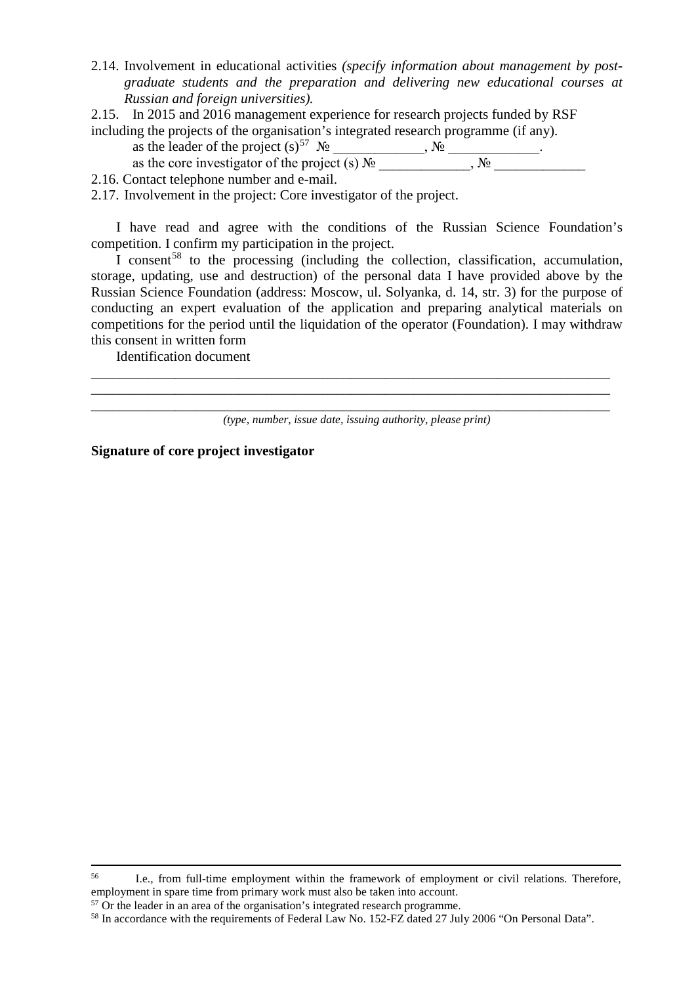- 2.14. Involvement in educational activities *(specify information about management by postgraduate students and the preparation and delivering new educational courses at Russian and foreign universities).*
- 2.15. In 2015 and 2016 management experience for research projects funded by RSF including the projects of the organisation's integrated research programme (if any).
	- as the leader of the project  $(s)^{57}$  N<sup>o</sup> \_\_\_\_\_\_\_\_\_, N<sup>o</sup> \_\_\_\_\_\_\_\_\_\_\_\_.

as the core investigator of the project (s)  $\mathcal{N}_{\mathfrak{D}}$  \_\_\_\_\_\_\_\_\_,  $\mathcal{N}_{\mathfrak{D}}$ 

- 2.16. Contact telephone number and e-mail.
- 2.17. Involvement in the project: Core investigator of the project.

I have read and agree with the conditions of the Russian Science Foundation's competition. I confirm my participation in the project.

I consent<sup>[58](#page-13-1)</sup> to the processing (including the collection, classification, accumulation, storage, updating, use and destruction) of the personal data I have provided above by the Russian Science Foundation (address: Moscow, ul. Solyanka, d. 14, str. 3) for the purpose of conducting an expert evaluation of the application and preparing analytical materials on competitions for the period until the liquidation of the operator (Foundation). I may withdraw this consent in written form

Identification document

\_\_\_\_\_\_\_\_\_\_\_\_\_\_\_\_\_\_\_\_\_\_\_\_\_\_\_\_\_\_\_\_\_\_\_\_\_\_\_\_\_\_\_\_\_\_\_\_\_\_\_\_\_\_\_\_\_\_\_\_\_\_\_\_\_\_\_\_\_\_\_\_\_\_ \_\_\_\_\_\_\_\_\_\_\_\_\_\_\_\_\_\_\_\_\_\_\_\_\_\_\_\_\_\_\_\_\_\_\_\_\_\_\_\_\_\_\_\_\_\_\_\_\_\_\_\_\_\_\_\_\_\_\_\_\_\_\_\_\_\_\_\_\_\_\_\_\_\_

**Signature of core project investigator**

\_\_\_\_\_\_\_\_\_\_\_\_\_\_\_\_\_\_\_\_\_\_\_\_\_\_\_\_\_\_\_\_\_\_\_\_\_\_\_\_\_\_\_\_\_\_\_\_\_\_\_\_\_\_\_\_\_\_\_\_\_\_\_\_\_\_\_\_\_\_\_\_\_\_ *(type, number, issue date, issuing authority, please print)*

 <sup>56</sup> I.e., from full-time employment within the framework of employment or civil relations. Therefore, employment in spare time from primary work must also be taken into account.

<span id="page-13-0"></span><sup>&</sup>lt;sup>57</sup> Or the leader in an area of the organisation's integrated research programme.

<span id="page-13-1"></span><sup>&</sup>lt;sup>58</sup> In accordance with the requirements of Federal Law No. 152-FZ dated 27 July 2006 "On Personal Data".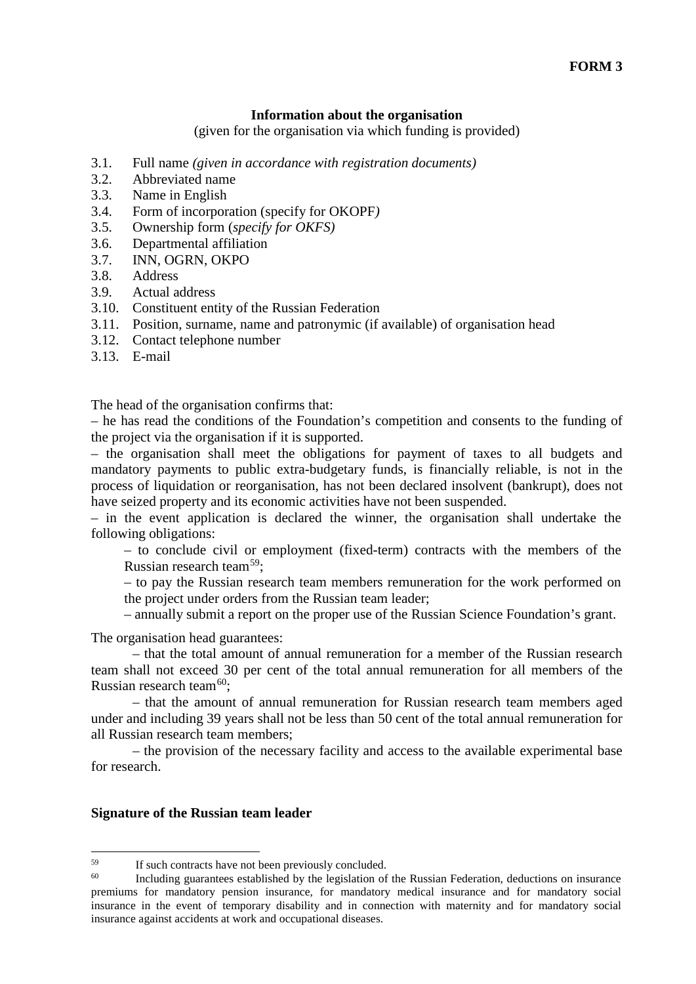#### **Information about the organisation**

(given for the organisation via which funding is provided)

- 3.1. Full name *(given in accordance with registration documents)*
- 3.2. Abbreviated name
- 3.3. Name in English
- 3.4. Form of incorporation (specify for OKOPF*)*
- 3.5. Ownership form (*specify for OKFS)*
- 3.6. Departmental affiliation
- 3.7. INN, OGRN, OKPO
- 3.8. Address
- 3.9. Actual address
- 3.10. Constituent entity of the Russian Federation
- 3.11. Position, surname, name and patronymic (if available) of organisation head
- 3.12. Contact telephone number
- 3.13. E-mail

The head of the organisation confirms that:

– he has read the conditions of the Foundation's competition and consents to the funding of the project via the organisation if it is supported.

– the organisation shall meet the obligations for payment of taxes to all budgets and mandatory payments to public extra-budgetary funds, is financially reliable, is not in the process of liquidation or reorganisation, has not been declared insolvent (bankrupt), does not have seized property and its economic activities have not been suspended.

– in the event application is declared the winner, the organisation shall undertake the following obligations:

– to conclude civil or employment (fixed-term) contracts with the members of the Russian research team[59](#page-14-0);

– to pay the Russian research team members remuneration for the work performed on the project under orders from the Russian team leader;

– annually submit a report on the proper use of the Russian Science Foundation's grant.

The organisation head guarantees:

– that the total amount of annual remuneration for a member of the Russian research team shall not exceed 30 per cent of the total annual remuneration for all members of the Russian research team $60$ :

– that the amount of annual remuneration for Russian research team members aged under and including 39 years shall not be less than 50 cent of the total annual remuneration for all Russian research team members;

– the provision of the necessary facility and access to the available experimental base for research.

#### **Signature of the Russian team leader**

<span id="page-14-0"></span> $^{59}$  If such contracts have not been previously concluded.<br> $^{60}$  Including quagation attached by the logislation of

<span id="page-14-1"></span>Including guarantees established by the legislation of the Russian Federation, deductions on insurance premiums for mandatory pension insurance, for mandatory medical insurance and for mandatory social insurance in the event of temporary disability and in connection with maternity and for mandatory social insurance against accidents at work and occupational diseases.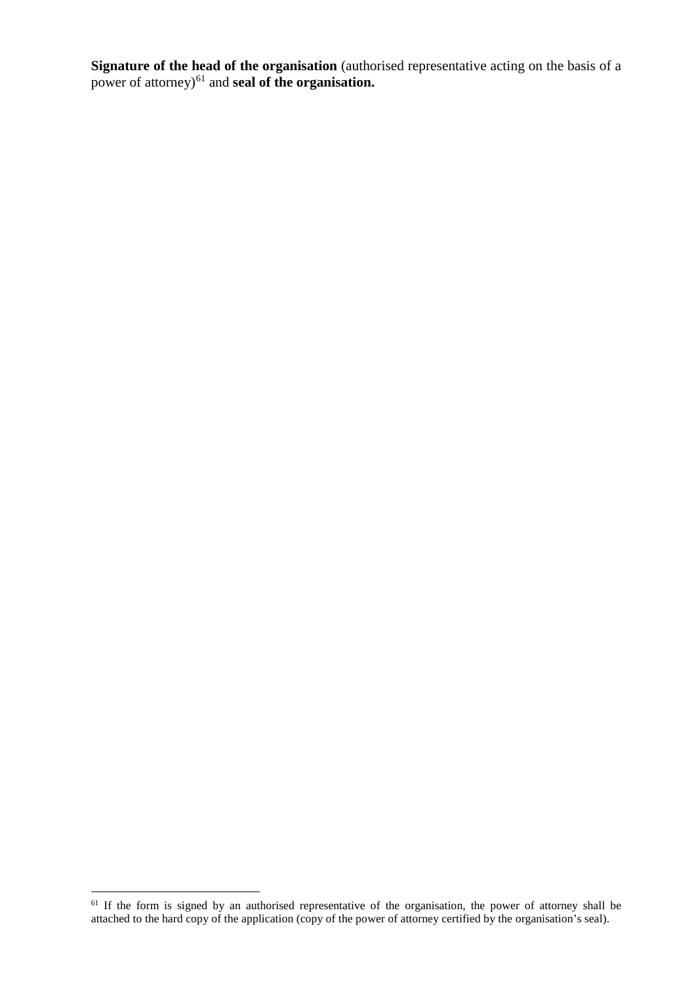**Signature of the head of the organisation** (authorised representative acting on the basis of a power of attorney)<sup>[61](#page-15-0)</sup> and **seal of the organisation.** 

<span id="page-15-0"></span><sup>&</sup>lt;sup>61</sup> If the form is signed by an authorised representative of the organisation, the power of attorney shall be attached to the hard copy of the application (copy of the power of attorney certified by the organisation's seal).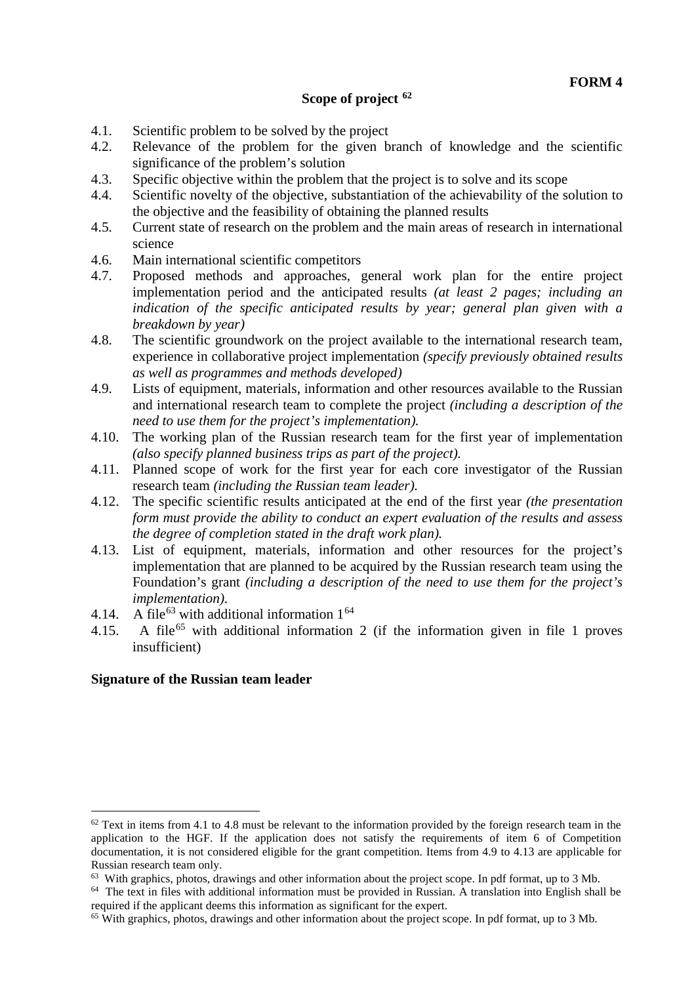#### **Scope of project [62](#page-16-0)**

- 4.1. Scientific problem to be solved by the project
- 4.2. Relevance of the problem for the given branch of knowledge and the scientific significance of the problem's solution
- 4.3. Specific objective within the problem that the project is to solve and its scope
- 4.4. Scientific novelty of the objective, substantiation of the achievability of the solution to the objective and the feasibility of obtaining the planned results
- 4.5. Current state of research on the problem and the main areas of research in international science
- 4.6. Main international scientific competitors
- 4.7. Proposed methods and approaches, general work plan for the entire project implementation period and the anticipated results *(at least 2 pages; including an indication of the specific anticipated results by year; general plan given with a breakdown by year)*
- 4.8. The scientific groundwork on the project available to the international research team, experience in collaborative project implementation *(specify previously obtained results as well as programmes and methods developed)*
- 4.9. Lists of equipment, materials, information and other resources available to the Russian and international research team to complete the project *(including a description of the need to use them for the project's implementation).*
- 4.10. The working plan of the Russian research team for the first year of implementation *(also specify planned business trips as part of the project).*
- 4.11. Planned scope of work for the first year for each core investigator of the Russian research team *(including the Russian team leader).*
- 4.12. The specific scientific results anticipated at the end of the first year *(the presentation form must provide the ability to conduct an expert evaluation of the results and assess the degree of completion stated in the draft work plan).*
- 4.13. List of equipment, materials, information and other resources for the project's implementation that are planned to be acquired by the Russian research team using the Foundation's grant *(including a description of the need to use them for the project's implementation)*.
- 4.14. A file<sup>[63](#page-16-1)</sup> with additional information  $1^{64}$  $1^{64}$  $1^{64}$
- 4.15. A file<sup>[65](#page-16-3)</sup> with additional information 2 (if the information given in file 1 proves insufficient)

#### **Signature of the Russian team leader**

<span id="page-16-0"></span> $62$  Text in items from 4.1 to 4.8 must be relevant to the information provided by the foreign research team in the application to the HGF. If the application does not satisfy the requirements of item 6 of Competition documentation, it is not considered eligible for the grant competition. Items from 4.9 to 4.13 are applicable for Russian research team only.

<sup>63</sup> With graphics, photos, drawings and other information about the project scope. In pdf format, up to 3 Mb.

<span id="page-16-2"></span><span id="page-16-1"></span><sup>&</sup>lt;sup>64</sup> The text in files with additional information must be provided in Russian. A translation into English shall be required if the applicant deems this information as significant for the expert.

<span id="page-16-3"></span><sup>65</sup> With graphics, photos, drawings and other information about the project scope. In pdf format, up to 3 Mb.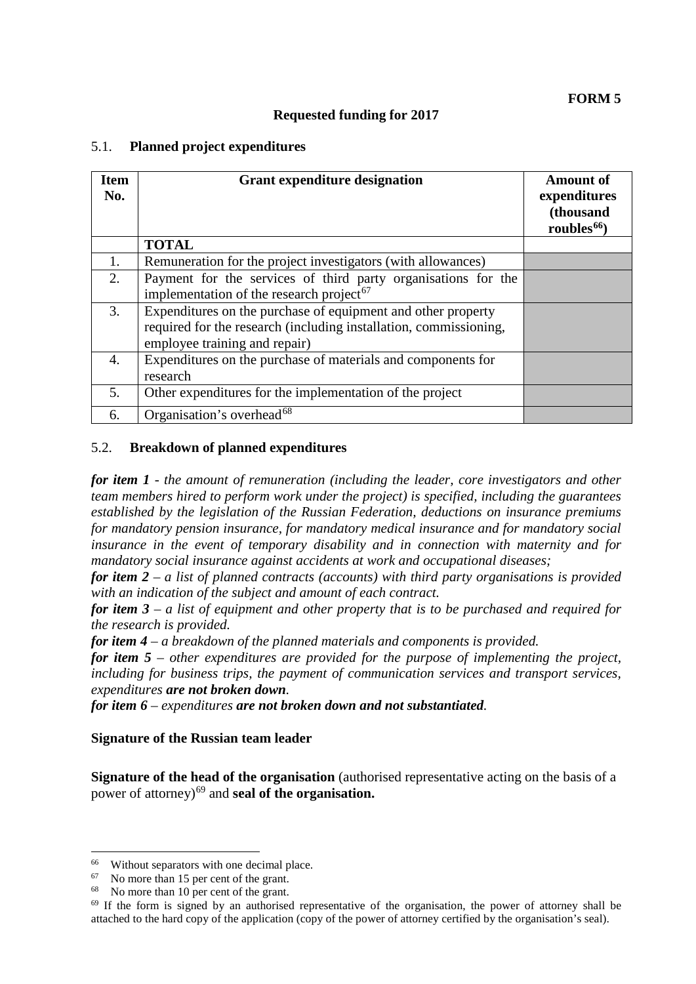### **Requested funding for 2017**

### 5.1. **Planned project expenditures**

| <b>Item</b><br>No. | <b>Grant expenditure designation</b>                                                                                                                               | <b>Amount of</b><br>expenditures<br>(thousand<br>roubles $66$ |
|--------------------|--------------------------------------------------------------------------------------------------------------------------------------------------------------------|---------------------------------------------------------------|
|                    | <b>TOTAL</b>                                                                                                                                                       |                                                               |
| 1.                 | Remuneration for the project investigators (with allowances)                                                                                                       |                                                               |
| 2.                 | Payment for the services of third party organisations for the<br>implementation of the research project <sup>67</sup>                                              |                                                               |
| 3.                 | Expenditures on the purchase of equipment and other property<br>required for the research (including installation, commissioning,<br>employee training and repair) |                                                               |
| 4.                 | Expenditures on the purchase of materials and components for<br>research                                                                                           |                                                               |
| 5.                 | Other expenditures for the implementation of the project                                                                                                           |                                                               |
| 6.                 | Organisation's overhead <sup>68</sup>                                                                                                                              |                                                               |

### 5.2. **Breakdown of planned expenditures**

*for item 1 - the amount of remuneration (including the leader, core investigators and other team members hired to perform work under the project) is specified, including the guarantees established by the legislation of the Russian Federation, deductions on insurance premiums for mandatory pension insurance, for mandatory medical insurance and for mandatory social insurance in the event of temporary disability and in connection with maternity and for mandatory social insurance against accidents at work and occupational diseases;* 

*for item 2* – *a list of planned contracts (accounts) with third party organisations is provided with an indication of the subject and amount of each contract.*

*for item 3 – a list of equipment and other property that is to be purchased and required for the research is provided.*

*for item 4 – a breakdown of the planned materials and components is provided.*

*for item 5 – other expenditures are provided for the purpose of implementing the project, including for business trips, the payment of communication services and transport services, expenditures are not broken down.*

*for item 6 – expenditures are not broken down and not substantiated.* 

#### **Signature of the Russian team leader**

**Signature of the head of the organisation** (authorised representative acting on the basis of a power of attorney)[69](#page-17-3) and **seal of the organisation.**

<span id="page-17-0"></span><sup>&</sup>lt;sup>66</sup> Without separators with one decimal place.<br><sup>67</sup> No more than 15 per cent of the grant

<span id="page-17-3"></span><span id="page-17-2"></span>

<span id="page-17-1"></span><sup>&</sup>lt;sup>67</sup> No more than 15 per cent of the grant.<br><sup>68</sup> No more than 10 per cent of the grant.<br><sup>69</sup> If the form is signed by an authorised representative of the organisation, the power of attorney shall be attached to the hard copy of the application (copy of the power of attorney certified by the organisation's seal).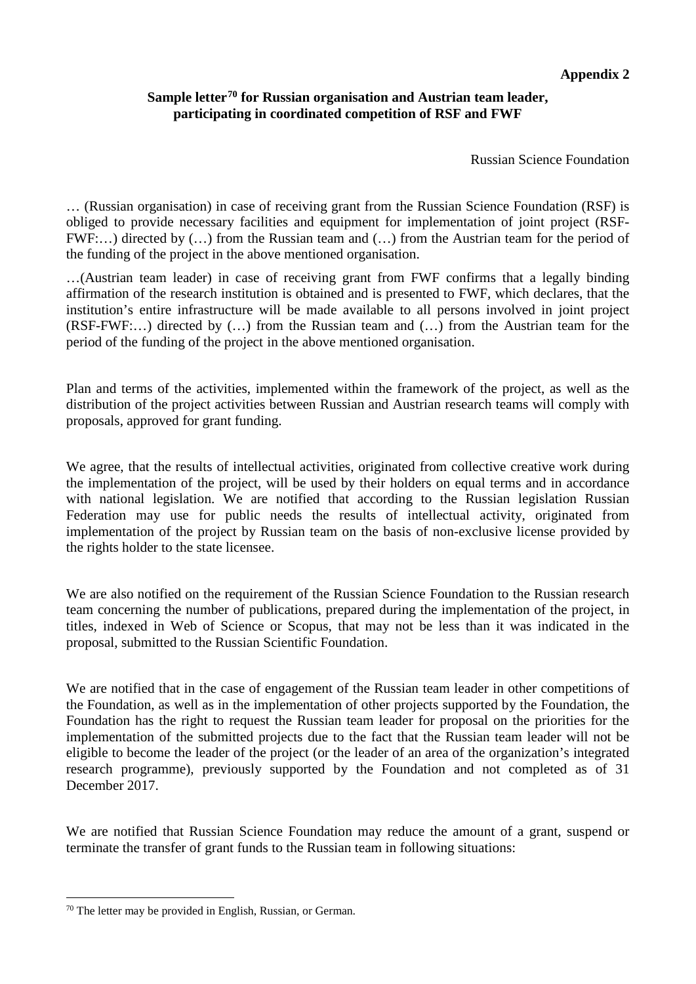#### **Appendix 2**

## **Sample letter[70](#page-18-0) for Russian organisation and Austrian team leader, participating in coordinated competition of RSF and FWF**

Russian Science Foundation

… (Russian organisation) in case of receiving grant from the Russian Science Foundation (RSF) is obliged to provide necessary facilities and equipment for implementation of joint project (RSF-FWF:…) directed by (…) from the Russian team and (…) from the Austrian team for the period of the funding of the project in the above mentioned organisation.

…(Austrian team leader) in case of receiving grant from FWF confirms that a legally binding affirmation of the research institution is obtained and is presented to FWF, which declares, that the institution's entire infrastructure will be made available to all persons involved in joint project (RSF-FWF:…) directed by (…) from the Russian team and (…) from the Austrian team for the period of the funding of the project in the above mentioned organisation.

Plan and terms of the activities, implemented within the framework of the project, as well as the distribution of the project activities between Russian and Austrian research teams will comply with proposals, approved for grant funding.

We agree, that the results of intellectual activities, originated from collective creative work during the implementation of the project, will be used by their holders on equal terms and in accordance with national legislation. We are notified that according to the Russian legislation Russian Federation may use for public needs the results of intellectual activity, originated from implementation of the project by Russian team on the basis of non-exclusive license provided by the rights holder to the state licensee.

We are also notified on the requirement of the Russian Science Foundation to the Russian research team concerning the number of publications, prepared during the implementation of the project, in titles, indexed in Web of Science or Scopus, that may not be less than it was indicated in the proposal, submitted to the Russian Scientific Foundation.

We are notified that in the case of engagement of the Russian team leader in other competitions of the Foundation, as well as in the implementation of other projects supported by the Foundation, the Foundation has the right to request the Russian team leader for proposal on the priorities for the implementation of the submitted projects due to the fact that the Russian team leader will not be eligible to become the leader of the project (or the leader of an area of the organization's integrated research programme), previously supported by the Foundation and not completed as of 31 December 2017.

We are notified that Russian Science Foundation may reduce the amount of a grant, suspend or terminate the transfer of grant funds to the Russian team in following situations:

<span id="page-18-0"></span> <sup>70</sup> The letter may be provided in English, Russian, or German.